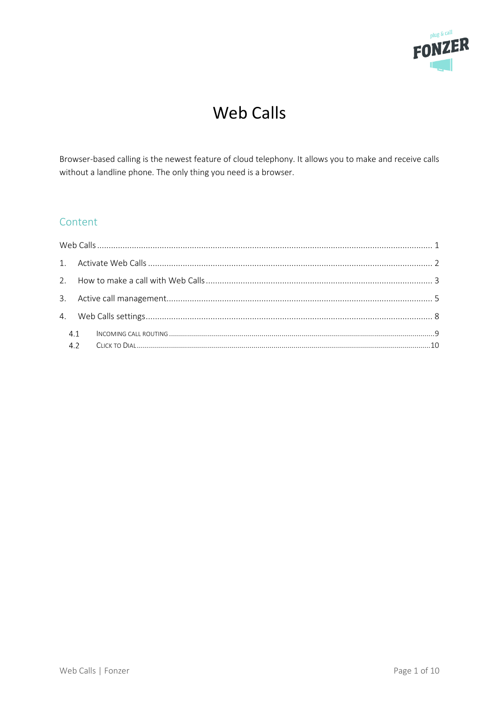

# **Web Calls**

<span id="page-0-0"></span>Browser-based calling is the newest feature of cloud telephony. It allows you to make and receive calls without a landline phone. The only thing you need is a browser.

# Content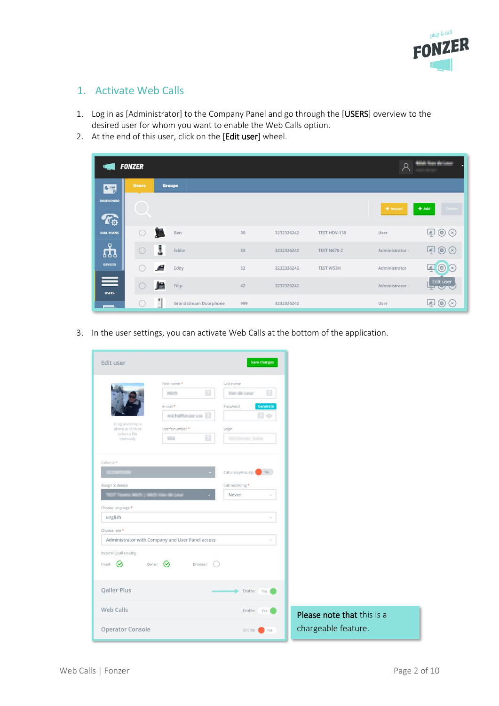

### <span id="page-1-0"></span>1. Activate Web Calls

- 1. Log in as [Administrator] to the Company Panel and go through the [USERS] overview to the desired user for whom you want to enable the Web Calls option.
- 2. At the end of this user, click on the [Edit user] wheel.

|                                 | <b>FONZER</b> |                            |     |            |                    | $\mathcal{P}$   | <b>Linds State We Links</b>          |
|---------------------------------|---------------|----------------------------|-----|------------|--------------------|-----------------|--------------------------------------|
| 碩                               | <b>Users</b>  | <b>Groups</b>              |     |            |                    |                 |                                      |
| <b>DASHBOARD</b><br>$T_{\rm Q}$ |               |                            |     |            |                    | $+$ Import      | $#$ Add<br>Delete                    |
| <b>DIAL PLANS</b>               | O             | T<br>Ben                   | 30  | 3232326242 | TEST HDV-130       | User            | $\mathbb{P} \circledcirc \otimes$    |
| ណ្ឌំ                            |               | å<br>Eddie                 | 53  | 3232326242 | <b>TEST N670-2</b> | Administrator - | $\mathbb{P} \circledcirc \mathbb{C}$ |
| <b>DEVICES</b>                  |               | A<br>Eddy                  | 52  | 3232326242 | TEST W53H          | Administrator   | $\left( \circ \right)$<br>靊<br>(x)   |
| $\equiv$<br><b>USERS</b>        |               | 愠<br>Filip                 | 42  | 3232326242 |                    | Administrator - | <b>Edit user</b>                     |
|                                 |               | в<br>Grandstream Doorphone | 999 | 3232326242 |                    | User            | $\mathbb{P}$ $\circledcirc$<br>(x)   |

3. In the user settings, you can activate Web Calls at the bottom of the application.

| Edit user                                                                              |                                                                                                                | Save changes                                                                                            |                            |
|----------------------------------------------------------------------------------------|----------------------------------------------------------------------------------------------------------------|---------------------------------------------------------------------------------------------------------|----------------------------|
| Drag and drop a<br>photo or click to<br>select a file<br>manually                      | First name *<br>$\boxed{2}$<br>Mich<br>E-mail *<br>mich@fonzer.com<br>User's number *<br>$\overline{2}$<br>653 | Last name<br>$\vert$ ?<br>Vien de Leur<br>Generate<br>Password<br>26<br>Login<br><b>SELfonser India</b> |                            |
| Caller id *<br><b><i>CARD IN THE REAL</i></b><br>Assign to device<br>Choose language * |                                                                                                                | Call anonymously: No<br>Call recording *<br>Never                                                       |                            |
| English<br>Choose role *                                                               | Administrator with Company and User Panel access                                                               |                                                                                                         |                            |
| Incoming call routing<br>$\mathcal{C}$<br>Fixed:                                       | Qaller: $\bigcirc$<br>Browser:                                                                                 |                                                                                                         |                            |
| Qaller Plus                                                                            |                                                                                                                | Enable:<br>Yes                                                                                          |                            |
| Web Calls                                                                              |                                                                                                                | Enable:<br>Yes (                                                                                        | Please note that this is a |
| Operator Console                                                                       |                                                                                                                | Enable:<br>No                                                                                           | chargeable feature.        |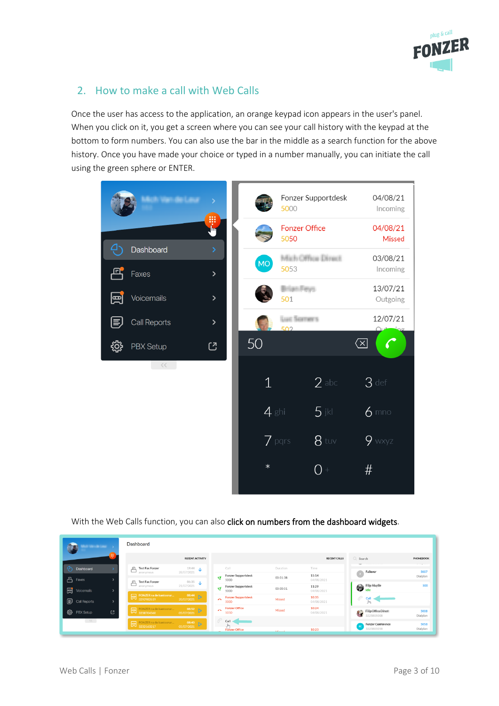

# <span id="page-2-0"></span>2. How to make a call with Web Calls

Once the user has access to the application, an orange keypad icon appears in the user's panel. When you click on it, you get a screen where you can see your call history with the keypad at the bottom to form numbers. You can also use the bar in the middle as a search function for the above history. Once you have made your choice or typed in a number manually, you can initiate the call using the green sphere or ENTER.

|                                                        |    | 5000                         | Fonzer Supportdesk | 04/08/21<br>Incoming          |
|--------------------------------------------------------|----|------------------------------|--------------------|-------------------------------|
| W<br>լիպ                                               |    | <b>Fonzer Office</b><br>5050 |                    | 04/08/21<br><b>Missed</b>     |
| Ģ,<br>Dashboard<br>$\rightarrow$<br>冎<br>Faxes<br>$\,$ | MO | 5053                         | Mich-Office Direct | 03/08/21<br>Incoming          |
| Voicemails<br>團<br>$\,$                                |    | Gan Fiews<br>501             |                    | 13/07/21<br>Outgoing          |
| Call Reports<br>$\,$<br>IΞ                             |    | Luci Scoromrs<br>502         |                    | 12/07/21<br>$\bigcap_{i=1}^n$ |
| <u>୍</u> ବିଧି<br><b>PBX Setup</b><br>じ                 | 50 |                              |                    | $\left( \frac{1}{2} \right)$  |
| $<<$ $ -$                                              |    | $\mathbf 1$                  | $2$ abc            | $3$ def                       |
|                                                        |    | $4$ ghi                      | $5$ jkl            | $6$ mno                       |
|                                                        |    | $\overline{Z}$ pars          | $8$ tuv            | $9$ wxyz                      |
|                                                        |    | $\ast$                       | 0                  | #                             |
|                                                        |    |                              |                    |                               |

With the Web Calls function, you can also click on numbers from the dashboard widgets.

| <b>STATISTICS</b>                                 | Dashboard                                                                                                        |                                                                              |                                             |           |                     |                                                                                                                                                                                                                                                                                                                                                                                                                                              |                             |
|---------------------------------------------------|------------------------------------------------------------------------------------------------------------------|------------------------------------------------------------------------------|---------------------------------------------|-----------|---------------------|----------------------------------------------------------------------------------------------------------------------------------------------------------------------------------------------------------------------------------------------------------------------------------------------------------------------------------------------------------------------------------------------------------------------------------------------|-----------------------------|
|                                                   |                                                                                                                  | <b>RECENT ACTIVITY</b>                                                       |                                             |           | <b>RECENT CALLS</b> | Q Search                                                                                                                                                                                                                                                                                                                                                                                                                                     | PHONEBOOK                   |
| ده.<br>Dashboard                                  | <b>Test Fax Fonzer</b><br>≞<br>anonymous                                                                         | $rac{19:44}{28/07/2021}$ $\downarrow$                                        | Call                                        | Duration  | Time                | Failover                                                                                                                                                                                                                                                                                                                                                                                                                                     | and the property of<br>5007 |
| டி<br>Faxes                                       | <b>Test Fax Fonzer</b>                                                                                           |                                                                              | <b>Fonzer Supportdesk</b><br>ਦ<br>5000      | 00:01:38  | 15:14<br>04/08/2021 |                                                                                                                                                                                                                                                                                                                                                                                                                                              | Dialplan                    |
| 圓<br>Voicemails<br>$\rightarrow$                  | ≞<br>anonymous                                                                                                   | $\begin{array}{ccc} & 06:35 & \longrightarrow & \\ 21/07/2021 & \end{array}$ | Fonzer Supportdesk<br>٩¥<br>5000            | 00:00:51  | 11:29<br>04/08/2021 | $\bigotimes$ idle                                                                                                                                                                                                                                                                                                                                                                                                                            | 500                         |
| <b>ED</b> Call Reports<br>$\rightarrow$           | $\fbox{FONZER}\,\text{na de kantoorur} \atop 3292982619$                                                         | $\frac{08:44}{20/07/2021}$                                                   | <b>Fonzer Supportdesk</b><br>$\sim$<br>5000 | Missed    | 10:35<br>04/08/2021 | P<br>Call                                                                                                                                                                                                                                                                                                                                                                                                                                    |                             |
| ట్ర<br>C.<br>PBX Setup                            | <b>EXECUTE:</b> FONZER na de kantoorur                                                                           | $\frac{08:52}{05/07/2021}$ D                                                 | <b>Fonzer Office</b><br>$\sim$<br>5050      | Missed    | 10:24<br>04/08/2021 | $\begin{tabular}{ c c c c } \hline \multicolumn{1}{ c }{\textbf{F}} & \multicolumn{1}{ c }{\textbf{F}} & \multicolumn{1}{ c }{\textbf{F}} & \multicolumn{1}{ c }{\textbf{F}} & \multicolumn{1}{ c }{\textbf{F}} & \multicolumn{1}{ c }{\textbf{F}} & \multicolumn{1}{ c }{\textbf{F}} & \multicolumn{1}{ c }{\textbf{F}} & \multicolumn{1}{ c }{\textbf{F}} & \multicolumn{1}{ c }{\textbf{F}} & \multicolumn{1}{ c }{\textbf{F}} & \multic$ | 5008<br>Dialplan            |
| $\langle \langle \langle \rangle \rangle \rangle$ | $\begin{array}{ c c }\hline \textbf{P} & \text{FONZER na de kantoorur}\\ \hline 3232163217\\ \hline \end{array}$ | $\frac{08:40}{05/07/2021}$                                                   | Call -<br><b>Fonzer Office</b>              | Addressed | 10:23               | <b>Fonzer Conference</b><br>3225805058                                                                                                                                                                                                                                                                                                                                                                                                       | 5058<br>Dialplan            |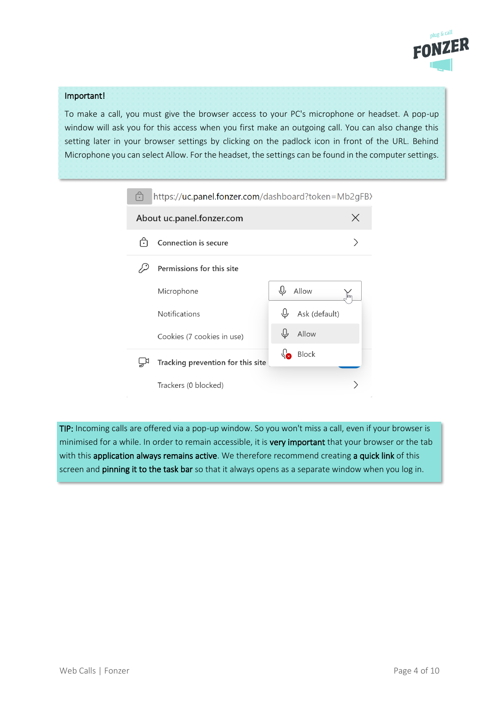

#### Important!

To make a call, you must give the browser access to your PC's microphone or headset. A pop-up window will ask you for this access when you first make an outgoing call. You can also change this setting later in your browser settings by clicking on the padlock icon in front of the URL. Behind Microphone you can select Allow. For the headset, the settings can be found in the computer settings.

| ⋔                              | https://uc.panel.fonzer.com/dashboard?token=Mb2gFB> |  |               |     |  |  |  |  |  |  |
|--------------------------------|-----------------------------------------------------|--|---------------|-----|--|--|--|--|--|--|
| X<br>About uc.panel.fonzer.com |                                                     |  |               |     |  |  |  |  |  |  |
| Ë                              | Connection is secure                                |  |               |     |  |  |  |  |  |  |
| Permissions for this site      |                                                     |  |               |     |  |  |  |  |  |  |
| Microphone                     |                                                     |  | Allow         | lĥr |  |  |  |  |  |  |
| <b>Notifications</b>           |                                                     |  | Ask (default) |     |  |  |  |  |  |  |
| Cookies (7 cookies in use)     |                                                     |  | Allow         |     |  |  |  |  |  |  |
|                                | Tracking prevention for this site                   |  | Block         |     |  |  |  |  |  |  |
| Trackers (0 blocked)           |                                                     |  |               |     |  |  |  |  |  |  |

TIP: Incoming calls are offered via a pop-up window. So you won't miss a call, even if your browser is minimised for a while. In order to remain accessible, it is very important that your browser or the tab with this application always remains active. We therefore recommend creating a quick link of this screen and pinning it to the task bar so that it always opens as a separate window when you log in.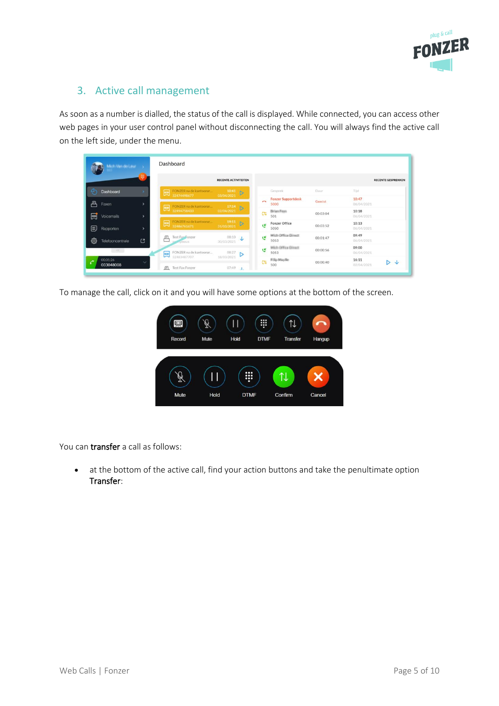

# <span id="page-4-0"></span>3. Active call management

As soon as a number is dialled, the status of the call is displayed. While connected, you can access other web pages in your user control panel without disconnecting the call. You will always find the active call on the left side, under the menu.

|    | Mich Van de Leal >    |                | Dashboard |                                                             |                                 |        |                                   |          |                     |                             |
|----|-----------------------|----------------|-----------|-------------------------------------------------------------|---------------------------------|--------|-----------------------------------|----------|---------------------|-----------------------------|
|    |                       |                |           |                                                             | <b>RECENTE ACTIVITEITEN</b>     |        |                                   |          |                     | <b>RECENTE GESPREKKEN</b>   |
|    | Dashboard             |                |           | FONZER na de kantoorum. 10:41<br>32474498677 03/04/2021<br> |                                 |        | Gesprek                           | Duur     | Tijd                |                             |
| 르  | Faxen                 |                |           |                                                             |                                 | $\sim$ | <b>Fonzer Supportdesk</b><br>5000 | Gemist   | 10:47<br>06/04/2021 |                             |
| 回  | Voicemails            |                |           | FONZER na de kantoorur 17:14 > 32494758433 02/04/2021 +     |                                 | CS.    | <b>Brien Forn</b><br>501          | 00:03:04 | 10:18<br>06/04/2021 |                             |
| ?  | Rapporten             |                |           |                                                             |                                 | ؾ      | <b>Fonzer Office</b><br>5050      | 00:03:52 | 10:13<br>06/04/2021 |                             |
| කු | Telefooncentrale      | $\mathfrak{C}$ | 且<br>⊏    | Test Fax Fonzer<br><b>WIVINOUS</b>                          | $08:10$ $\downarrow$ 30/03/2021 | ٩Ř     | Mich-Office Direct<br>5053        | 00:01:47 | 09:49<br>06/04/2021 |                             |
|    | $\mathcal{M} =$       |                | 国         | FONZER na de kantoorur                                      | $08:27$ $\triangleright$        | ۜ      | Mich Office Direct<br>5053        | 00:00:56 | 09:00<br>06/04/2021 |                             |
| C  | 00:01:26<br>033048008 | $\checkmark$   |           | 32483487707<br>Fl Test Fax Fonzer                           | 18/03/2021<br>$07:49$           | CS.    | Filip Maylie<br>500               | 00:00:40 | 16:11<br>02/04/2021 | $\triangleright \downarrow$ |

To manage the call, click on it and you will have some options at the bottom of the screen.



You can **transfer** a call as follows:

• at the bottom of the active call, find your action buttons and take the penultimate option Transfer: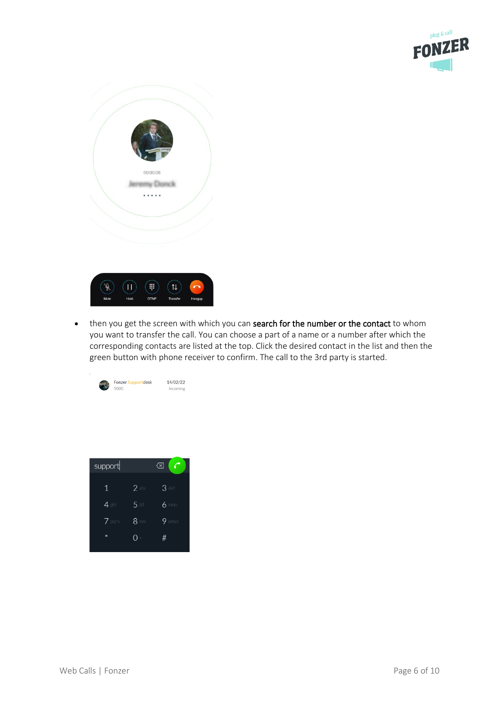

| 00:00:08 |  |
|----------|--|
|          |  |



• then you get the screen with which you can search for the number or the contact to whom you want to transfer the call. You can choose a part of a name or a number after which the corresponding contacts are listed at the top. Click the desired contact in the list and then the green button with phone receiver to confirm. The call to the 3rd party is started.



| support     |         | $(\times$ |
|-------------|---------|-----------|
| $\mathbf 1$ | $2$ abc | $3$ def   |
| $4$ ghi     | $5$ jki | $6$ mno   |
| $7$ pars    | $8$ tuv | $9$ wxyz  |
| *           |         | #         |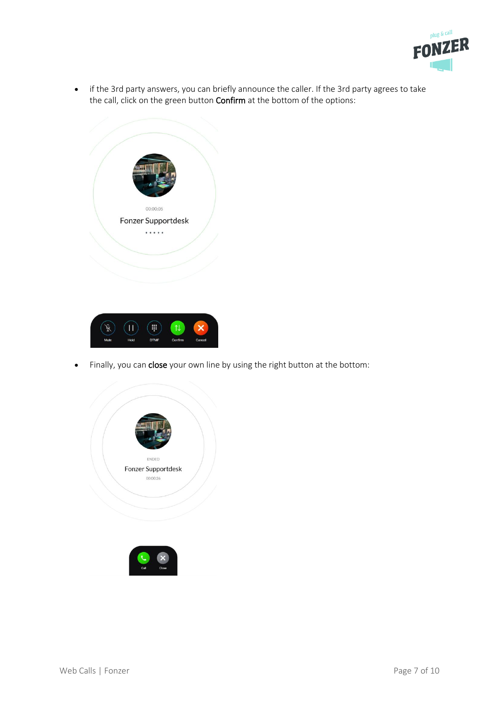

• if the 3rd party answers, you can briefly announce the caller. If the 3rd party agrees to take the call, click on the green button **Confirm** at the bottom of the options:





• Finally, you can close your own line by using the right button at the bottom:

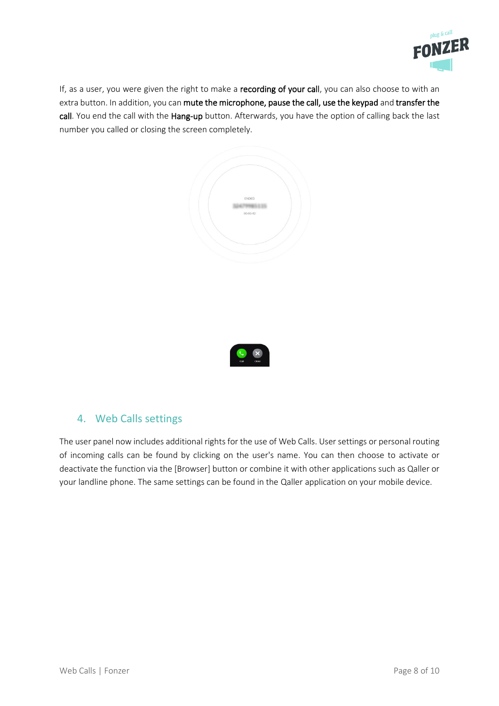

If, as a user, you were given the right to make a recording of your call, you can also choose to with an extra button. In addition, you can mute the microphone, pause the call, use the keypad and transfer the call. You end the call with the Hang-up button. Afterwards, you have the option of calling back the last number you called or closing the screen completely.



# <span id="page-7-0"></span>4. Web Calls settings

The user panel now includes additional rights for the use of Web Calls. User settings or personal routing of incoming calls can be found by clicking on the user's name. You can then choose to activate or deactivate the function via the [Browser] button or combine it with other applications such as Qaller or your landline phone. The same settings can be found in the Qaller application on your mobile device.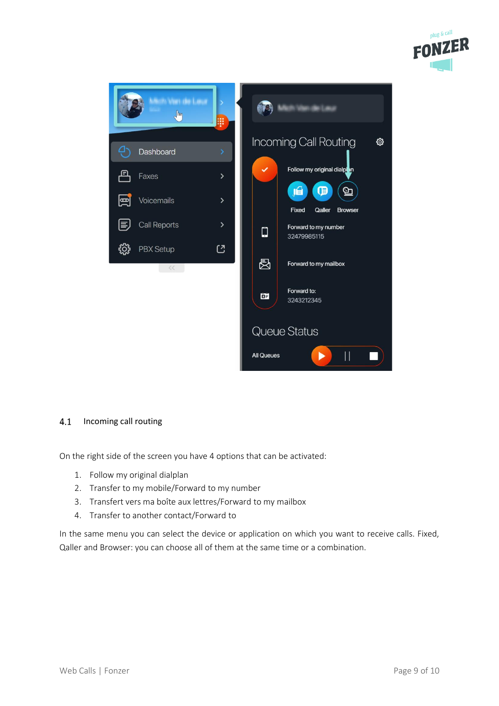



#### <span id="page-8-0"></span> $4.1$ Incoming call routing

On the right side of the screen you have 4 options that can be activated:

- 1. Follow my original dialplan
- 2. Transfer to my mobile/Forward to my number
- 3. Transfert vers ma boîte aux lettres/Forward to my mailbox
- 4. Transfer to another contact/Forward to

In the same menu you can select the device or application on which you want to receive calls. Fixed, Qaller and Browser: you can choose all of them at the same time or a combination.